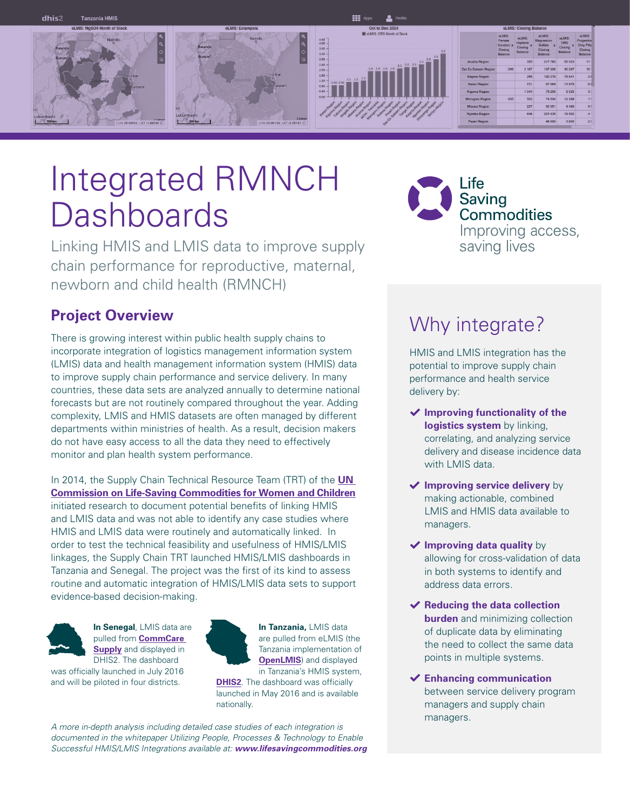

# Integrated RMNCH **Dashboards**

Linking HMIS and LMIS data to improve supply chain performance for reproductive, maternal, newborn and child health (RMNCH)

#### **Project Overview**

There is growing interest within public health supply chains to incorporate integration of logistics management information system (LMIS) data and health management information system (HMIS) data to improve supply chain performance and service delivery. In many countries, these data sets are analyzed annually to determine national forecasts but are not routinely compared throughout the year. Adding complexity, LMIS and HMIS datasets are often managed by different departments within ministries of health. As a result, decision makers do not have easy access to all the data they need to effectively monitor and plan health system performance.

In 2014, the Supply Chain Technical Resource Team (TRT) of the **UN Commission on Life-Saving Commodities for Women and Children** initiated research to document potential benefits of linking HMIS and LMIS data and was not able to identify any case studies where HMIS and LMIS data were routinely and automatically linked. In order to test the technical feasibility and usefulness of HMIS/LMIS linkages, the Supply Chain TRT launched HMIS/LMIS dashboards in Tanzania and Senegal. The project was the first of its kind to assess routine and automatic integration of HMIS/LMIS data sets to support evidence-based decision-making.



**In Senegal**, LMIS data are pulled from **CommCare Supply** and displayed in DHIS2. The dashboard

was officially launched in July 2016 and will be piloted in four districts.



nationally.

**In Tanzania,** LMIS data are pulled from eLMIS (the Tanzania implementation of **OpenLMIS**) and displayed in Tanzania's HMIS system, **DHIS2**. The dashboard was officially launched in May 2016 and is available

*A more in-depth analysis including detailed case studies of each integration is documented in the whitepaper Utilizing People, Processes & Technology to Enable Successful HMIS/LMIS Integrations available at: www.lifesavingcommodities.org* 

Life Saving Commodities Improving access. saving lives

# Why integrate?

HMIS and LMIS integration has the potential to improve supply chain performance and health service delivery by:

- **Improving functionality of the logistics system** by linking, correlating, and analyzing service delivery and disease incidence data with LMIS data.
- **Improving service delivery** by making actionable, combined LMIS and HMIS data available to managers.
- **Improving data quality** by allowing for cross-validation of data in both systems to identify and address data errors.
- **Reducing the data collection burden** and minimizing collection of duplicate data by eliminating the need to collect the same data points in multiple systems.
- **Enhancing communication**  between service delivery program managers and supply chain managers.